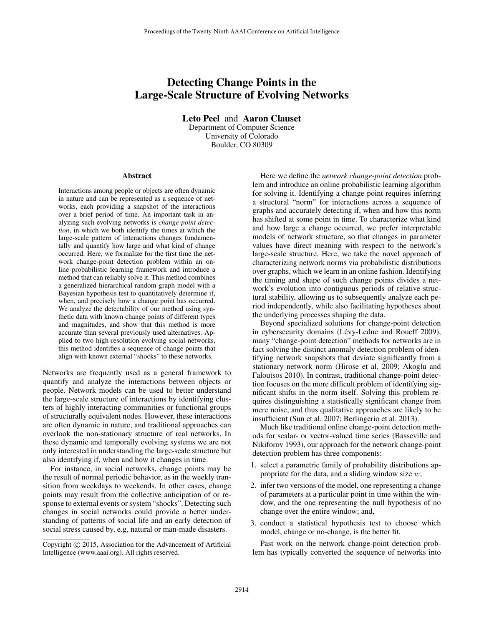# Detecting Change Points in the Large-Scale Structure of Evolving Networks

Leto Peel and Aaron Clauset

Department of Computer Science University of Colorado Boulder, CO 80309

#### Abstract

Interactions among people or objects are often dynamic in nature and can be represented as a sequence of networks, each providing a snapshot of the interactions over a brief period of time. An important task in analyzing such evolving networks is *change-point detection*, in which we both identify the times at which the large-scale pattern of interactions changes fundamentally and quantify how large and what kind of change occurred. Here, we formalize for the first time the network change-point detection problem within an online probabilistic learning framework and introduce a method that can reliably solve it. This method combines a generalized hierarchical random graph model with a Bayesian hypothesis test to quantitatively determine if, when, and precisely how a change point has occurred. We analyze the detectability of our method using synthetic data with known change points of different types and magnitudes, and show that this method is more accurate than several previously used alternatives. Applied to two high-resolution evolving social networks, this method identifies a sequence of change points that align with known external "shocks" to these networks.

Networks are frequently used as a general framework to quantify and analyze the interactions between objects or people. Network models can be used to better understand the large-scale structure of interactions by identifying clusters of highly interacting communities or functional groups of structurally equivalent nodes. However, these interactions are often dynamic in nature, and traditional approaches can overlook the non-stationary structure of real networks. In these dynamic and temporally evolving systems we are not only interested in understanding the large-scale structure but also identifying if, when and how it changes in time.

For instance, in social networks, change points may be the result of normal periodic behavior, as in the weekly transition from weekdays to weekends. In other cases, change points may result from the collective anticipation of or response to external events or system "shocks". Detecting such changes in social networks could provide a better understanding of patterns of social life and an early detection of social stress caused by, e.g, natural or man-made disasters.

Here we define the *network change-point detection* problem and introduce an online probabilistic learning algorithm for solving it. Identifying a change point requires inferring a structural "norm" for interactions across a sequence of graphs and accurately detecting if, when and how this norm has shifted at some point in time. To characterize what kind and how large a change occurred, we prefer interpretable models of network structure, so that changes in parameter values have direct meaning with respect to the network's large-scale structure. Here, we take the novel approach of characterizing network norms via probabilistic distributions over graphs, which we learn in an online fashion. Identifying the timing and shape of such change points divides a network's evolution into contiguous periods of relative structural stability, allowing us to subsequently analyze each period independently, while also facilitating hypotheses about the underlying processes shaping the data.

Beyond specialized solutions for change-point detection in cybersecurity domains (Lévy-Leduc and Roueff 2009), many "change-point detection" methods for networks are in fact solving the distinct anomaly detection problem of identifying network snapshots that deviate significantly from a stationary network norm (Hirose et al. 2009; Akoglu and Faloutsos 2010). In contrast, traditional change-point detection focuses on the more difficult problem of identifying significant shifts in the norm itself. Solving this problem requires distinguishing a statistically significant change from mere noise, and thus qualitative approaches are likely to be insufficient (Sun et al. 2007; Berlingerio et al. 2013).

Much like traditional online change-point detection methods for scalar- or vector-valued time series (Basseville and Nikiforov 1993), our approach for the network change-point detection problem has three components:

- 1. select a parametric family of probability distributions appropriate for the data, and a sliding window size  $w$ ;
- 2. infer two versions of the model, one representing a change of parameters at a particular point in time within the window, and the one representing the null hypothesis of no change over the entire window; and,
- 3. conduct a statistical hypothesis test to choose which model, change or no-change, is the better fit.

Past work on the network change-point detection problem has typically converted the sequence of networks into

Copyright © 2015, Association for the Advancement of Artificial Intelligence (www.aaai.org). All rights reserved.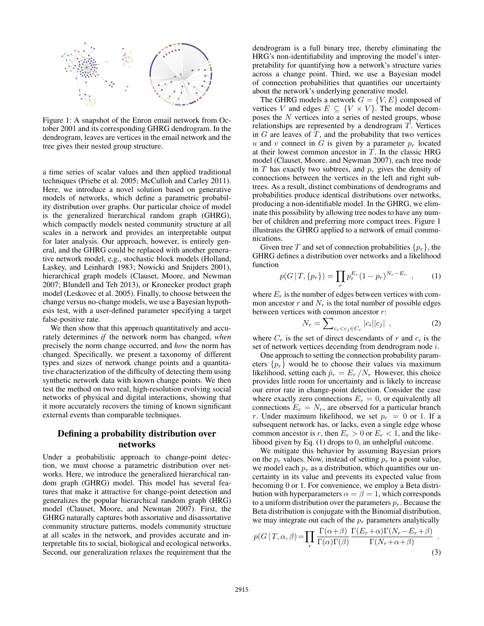

Figure 1: A snapshot of the Enron email network from October 2001 and its corresponding GHRG dendrogram. In the dendrogram, leaves are vertices in the email network and the tree gives their nested group structure.

a time series of scalar values and then applied traditional techniques (Priebe et al. 2005; McCulloh and Carley 2011). Here, we introduce a novel solution based on generative models of networks, which define a parametric probability distribution over graphs. Our particular choice of model is the generalized hierarchical random graph (GHRG), which compactly models nested community structure at all scales in a network and provides an interpretable output for later analysis. Our approach, however, is entirely general, and the GHRG could be replaced with another generative network model, e.g., stochastic block models (Holland, Laskey, and Leinhardt 1983; Nowicki and Snijders 2001), hierarchical graph models (Clauset, Moore, and Newman 2007; Blundell and Teh 2013), or Kronecker product graph model (Leskovec et al. 2005). Finally, to choose between the change versus no-change models, we use a Bayesian hypothesis test, with a user-defined parameter specifying a target false-positive rate.

We then show that this approach quantitatively and accurately determines *if* the network norm has changed, *when* precisely the norm change occurred, and *how* the norm has changed. Specifically, we present a taxonomy of different types and sizes of network change points and a quantitative characterization of the difficulty of detecting them using synthetic network data with known change points. We then test the method on two real, high-resolution evolving social networks of physical and digital interactions, showing that it more accurately recovers the timing of known significant external events than comparable techniques.

# Defining a probability distribution over networks

Under a probabilistic approach to change-point detection, we must choose a parametric distribution over networks. Here, we introduce the generalized hierarchical random graph (GHRG) model. This model has several features that make it attractive for change-point detection and generalizes the popular hierarchical random graph (HRG) model (Clauset, Moore, and Newman 2007). First, the GHRG naturally captures both assortative and disassortative community structure patterns, models community structure at all scales in the network, and provides accurate and interpretable fits to social, biological and ecological networks. Second, our generalization relaxes the requirement that the

dendrogram is a full binary tree, thereby eliminating the HRG's non-identifiability and improving the model's interpretability for quantifying how a network's structure varies across a change point. Third, we use a Bayesian model of connection probabilities that quantifies our uncertainty about the network's underlying generative model.

The GHRG models a network  $G = \{V, E\}$  composed of vertices V and edges  $E \subseteq \{V \times V\}$ . The model decomposes the N vertices into a series of nested groups, whose relationships are represented by a dendrogram  $T$ . Vertices in  $G$  are leaves of  $T$ , and the probability that two vertices u and v connect in G is given by a parameter  $p_r$  located at their lowest common ancestor in  $T$ . In the classic HRG model (Clauset, Moore, and Newman 2007), each tree node in  $T$  has exactly two subtrees, and  $p_r$  gives the density of connections between the vertices in the left and right subtrees. As a result, distinct combinations of dendrograms and probabilities produce identical distributions over networks, producing a non-identifiable model. In the GHRG, we eliminate this possibility by allowing tree nodes to have any number of children and preferring more compact trees. Figure 1 illustrates the GHRG applied to a network of email communications.

Given tree T and set of connection probabilities  $\{p_r\}$ , the GHRG defines a distribution over networks and a likelihood function

$$
p(G | T, \{p_r\}) = \prod_r p_r^{E_r} (1 - p_r)^{N_r - E_r} \quad , \tag{1}
$$

where  $E_r$  is the number of edges between vertices with common ancestor  $r$  and  $N_r$  is the total number of possible edges between vertices with common ancestor r:

$$
N_r = \sum_{c_i < c_j \in C_r} |c_i||c_j| \tag{2}
$$

where  $C_r$  is the set of direct descendants of r and  $c_i$  is the set of network vertices decending from dendrogram node i.

One approach to setting the connection probability parameters  $\{p_r\}$  would be to choose their values via maximum likelihood, setting each  $\hat{p}_r = E_r / N_r$  However, this choice provides little room for uncertainty and is likely to increase our error rate in change-point detection. Consider the case where exactly zero connections  $E_r = 0$ , or equivalently all connections  $E_r = N_r$ , are observed for a particular branch r. Under maximum likelihood, we set  $p_r = 0$  or 1. If a subsequent network has, or lacks, even a single edge whose common ancestor is r, then  $E_r > 0$  or  $E_r < 1$ , and the likelihood given by Eq. (1) drops to 0, an unhelpful outcome.

We mitigate this behavior by assuming Bayesian priors on the  $p_r$  values. Now, instead of setting  $p_r$  to a point value, we model each  $p_r$  as a distribution, which quantifies our uncertainty in its value and prevents its expected value from becoming 0 or 1. For convenience, we employ a Beta distribution with hyperparameters  $\alpha = \beta = 1$ , which corresponds to a uniform distribution over the parameters  $p_r$ . Because the Beta distribution is conjugate with the Binomial distribution, we may integrate out each of the  $p_r$  parameters analytically

$$
p(G | T, \alpha, \beta) = \prod_{r} \frac{\Gamma(\alpha + \beta)}{\Gamma(\alpha)\Gamma(\beta)} \frac{\Gamma(E_r + \alpha)\Gamma(N_r - E_r + \beta)}{\Gamma(N_r + \alpha + \beta)}.
$$
\n(3)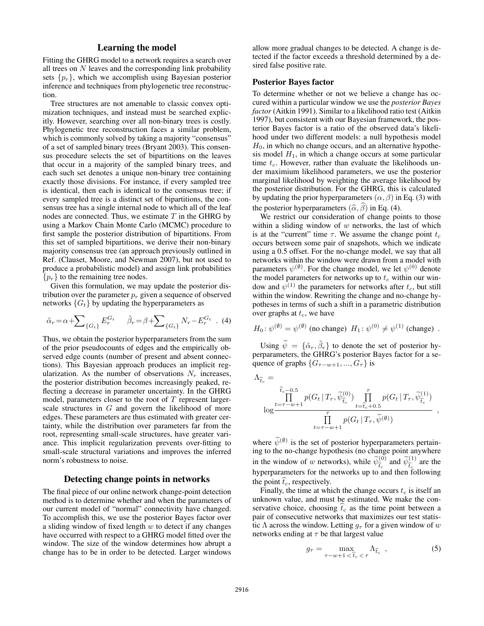# Learning the model

Fitting the GHRG model to a network requires a search over all trees on  $N$  leaves and the corresponding link probability sets  $\{p_r\}$ , which we accomplish using Bayesian posterior inference and techniques from phylogenetic tree reconstruction.

Tree structures are not amenable to classic convex optimization techniques, and instead must be searched explicitly. However, searching over all non-binary trees is costly. Phylogenetic tree reconstruction faces a similar problem, which is commonly solved by taking a majority "consensus" of a set of sampled binary trees (Bryant 2003). This consensus procedure selects the set of bipartitions on the leaves that occur in a majority of the sampled binary trees, and each such set denotes a unique non-binary tree containing exactly those divisions. For instance, if every sampled tree is identical, then each is identical to the consensus tree; if every sampled tree is a distinct set of bipartitions, the consensus tree has a single internal node to which all of the leaf nodes are connected. Thus, we estimate  $T$  in the GHRG by using a Markov Chain Monte Carlo (MCMC) procedure to first sample the posterior distribution of bipartitions. From this set of sampled bipartitions, we derive their non-binary majority consensus tree (an approach previously outlined in Ref. (Clauset, Moore, and Newman 2007), but not used to produce a probabilistic model) and assign link probabilities  ${p_r}$  to the remaining tree nodes.

Given this formulation, we may update the posterior distribution over the parameter  $p_r$  given a sequence of observed networks  ${G_t}$  by updating the hyperparameters as

$$
\tilde{\alpha}_r = \alpha + \sum \{G_t\} E_r^{G_t} \qquad \tilde{\beta}_r = \beta + \sum \{G_t\} N_r - E_r^{G_t} \quad . \tag{4}
$$

Thus, we obtain the posterior hyperparameters from the sum of the prior pseudocounts of edges and the empirically observed edge counts (number of present and absent connections). This Bayesian approach produces an implicit regularization. As the number of observations  $N_r$  increases, the posterior distribution becomes increasingly peaked, reflecting a decrease in parameter uncertainty. In the GHRG model, parameters closer to the root of  $T$  represent largerscale structures in G and govern the likelihood of more edges. These parameters are thus estimated with greater certainty, while the distribution over parameters far from the root, representing small-scale structures, have greater variance. This implicit regularization prevents over-fitting to small-scale structural variations and improves the inferred norm's robustness to noise.

#### Detecting change points in networks

The final piece of our online network change-point detection method is to determine whether and when the parameters of our current model of "normal" connectivity have changed. To accomplish this, we use the posterior Bayes factor over a sliding window of fixed length  $w$  to detect if any changes have occurred with respect to a GHRG model fitted over the window. The size of the window determines how abrupt a change has to be in order to be detected. Larger windows

allow more gradual changes to be detected. A change is detected if the factor exceeds a threshold determined by a desired false positive rate.

# Posterior Bayes factor

To determine whether or not we believe a change has occured within a particular window we use the *posterior Bayes factor* (Aitkin 1991). Similar to a likelihood ratio test (Aitkin 1997), but consistent with our Bayesian framework, the posterior Bayes factor is a ratio of the observed data's likelihood under two different models: a null hypothesis model  $H_0$ , in which no change occurs, and an alternative hypothesis model  $H_1$ , in which a change occurs at some particular time  $t_c$ . However, rather than evaluate the likelihoods under maximium likelihood parameters, we use the posterior marginal likelihood by weighting the average likelihood by the posterior distribution. For the GHRG, this is calculated by updating the prior hyperparameters  $(\alpha, \beta)$  in Eq. (3) with the posterior hyperparameters  $(\widehat{\alpha}, \widehat{\beta})$  in Eq. (4).

We restrict our consideration of change points to those within a sliding window of  $w$  networks, the last of which is at the "current" time  $\tau$ . We assume the change point  $t_c$ occurs between some pair of snapshots, which we indicate using a 0.5 offset. For the no-change model, we say that all networks within the window were drawn from a model with parameters  $\psi^{(\emptyset)}$ . For the change model, we let  $\psi^{(0)}$  denote the model parameters for networks up to  $t_c$  within our window and  $\psi^{(1)}$  the parameters for networks after  $t_c$ , but still within the window. Rewriting the change and no-change hypotheses in terms of such a shift in a parametric distribution over graphs at  $t_c$ , we have

$$
H_0: \psi^{(\emptyset)} = \psi^{(\emptyset)} \text{ (no change) } H_1: \psi^{(0)} \neq \psi^{(1)} \text{ (change) }.
$$

Using  $\widetilde{\psi} = {\{\widetilde{\alpha}_r, \widetilde{\beta}_r\}}$  to denote the set of posterior hyperparameters, the GHRG's posterior Bayes factor for a sequence of graphs  $\{G_{\tau-w+1}, ..., G_{\tau}\}\$ is

$$
\Lambda_{\hat{t}_c} = \frac{\hat{t}_c - 0.5}{\prod_{t = \tau - w + 1}^{\hat{t}_c - 0.5} p(G_t | T_\tau, \widetilde{\psi}_{\hat{t}_c}^{(0)}) \prod_{t = \hat{t}_c + 0.5}^{\tau} p(G_t | T_\tau, \widetilde{\psi}_{\hat{t}_c}^{(1)})}{\prod_{t = \tau - w + 1}^{\tau} p(G_t | T_\tau, \widetilde{\psi}^{(\emptyset)})},
$$

where  $\widetilde{\psi}^{(\emptyset)}$  is the set of posterior hyperparameters pertaining to the no-change hypothesis (no change point anywhere in the window of w networks), while  $\widetilde{\psi}_{\hat{t}}^{(0)}$  and  $\widetilde{\psi}_{\hat{t}}^{(1)}$  are the hypergeometers for the networks up to end then following hyperparameters for the networks up to and then following the point  $\hat{t}_c$ , respectively.

Finally, the time at which the change occurs  $t_c$  is itself an unknown value, and must be estimated. We make the conservative choice, choosing  $\hat{t}_c$  as the time point between a pair of consecutive networks that maximizes our test statistic Λ across the window. Letting  $q_\tau$  for a given window of w networks ending at  $\tau$  be that largest value

$$
g_{\tau} = \max_{\tau - w + 1 < \hat{t}_c < \tau} \Lambda_{\hat{t}_c} \quad , \tag{5}
$$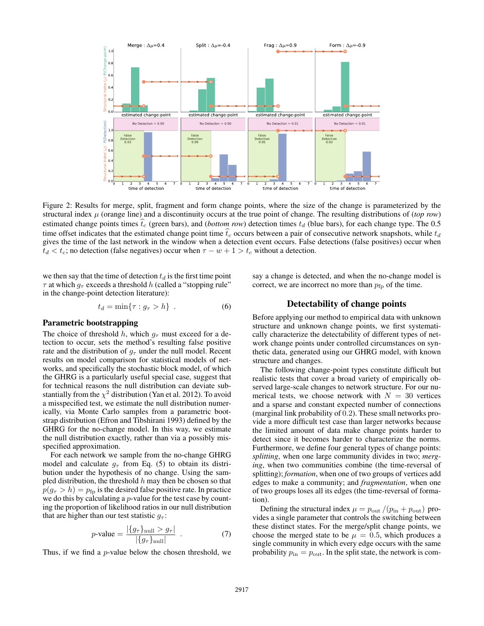

Figure 2: Results for merge, split, fragment and form change points, where the size of the change is parameterized by the structural index  $\mu$  (orange line) and a discontinuity occurs at the true point of change. The resulting distributions of (*top row*) estimated change points times  $t_c$  (green bars), and (*bottom row*) detection times  $t_d$  (blue bars), for each change type. The 0.5 time offset indicates that the estimated change point time  $t_c$  occurs between a pair of consecutive network snapshots, while  $t_d$ gives the time of the last network in the window when a detection event occurs. False detections (false positives) occur when  $t_d < t_c$ ; no detection (false negatives) occur when  $\tau - w + 1 > t_c$  without a detection.

we then say that the time of detection  $t_d$  is the first time point  $\tau$  at which  $g_{\tau}$  exceeds a threshold h (called a "stopping rule" in the change-point detection literature):

$$
t_d = \min\{\tau : g_\tau > h\} \tag{6}
$$

### Parametric bootstrapping

The choice of threshold h, which  $g<sub>\tau</sub>$  must exceed for a detection to occur, sets the method's resulting false positive rate and the distribution of  $g<sub>\tau</sub>$  under the null model. Recent results on model comparison for statistical models of networks, and specifically the stochastic block model, of which the GHRG is a particularly useful special case, suggest that for technical reasons the null distribution can deviate substantially from the  $\chi^2$  distribution (Yan et al. 2012). To avoid a misspecified test, we estimate the null distribution numerically, via Monte Carlo samples from a parametric bootstrap distribution (Efron and Tibshirani 1993) defined by the GHRG for the no-change model. In this way, we estimate the null distribution exactly, rather than via a possibly misspecified approximation.

For each network we sample from the no-change GHRG model and calculate  $g_{\tau}$  from Eq. (5) to obtain its distribution under the hypothesis of no change. Using the sampled distribution, the threshold  $h$  may then be chosen so that  $p(q_\tau > h) = p_{\text{fn}}$  is the desired false positive rate. In practice we do this by calculating a *p*-value for the test case by counting the proportion of likelihood ratios in our null distribution that are higher than our test statistic  $q_{\tau}$ :

$$
p\text{-value} = \frac{|\{g_{\tau}\}_{\text{null}} > g_{\tau}|}{|\{g_{\tau}\}_{\text{null}}|} \tag{7}
$$

Thus, if we find a p-value below the chosen threshold, we

say a change is detected, and when the no-change model is correct, we are incorrect no more than  $p_{fp}$  of the time.

# Detectability of change points

Before applying our method to empirical data with unknown structure and unknown change points, we first systematically characterize the detectability of different types of network change points under controlled circumstances on synthetic data, generated using our GHRG model, with known structure and changes.

The following change-point types constitute difficult but realistic tests that cover a broad variety of empirically observed large-scale changes to network structure. For our numerical tests, we choose network with  $N = 30$  vertices and a sparse and constant expected number of connections (marginal link probability of 0.2). These small networks provide a more difficult test case than larger networks because the limited amount of data make change points harder to detect since it becomes harder to characterize the norms. Furthermore, we define four general types of change points: *splitting*, when one large community divides in two; *merging*, when two communities combine (the time-reversal of splitting); *formation*, when one of two groups of vertices add edges to make a community; and *fragmentation*, when one of two groups loses all its edges (the time-reversal of formation).

Defining the structural index  $\mu = p_{\text{out}}/(p_{\text{in}} + p_{\text{out}})$  provides a single parameter that controls the switching between these distinct states. For the merge/split change points, we choose the merged state to be  $\mu = 0.5$ , which produces a single community in which every edge occurs with the same probability  $p_{\text{in}} = p_{\text{out}}$ . In the split state, the network is com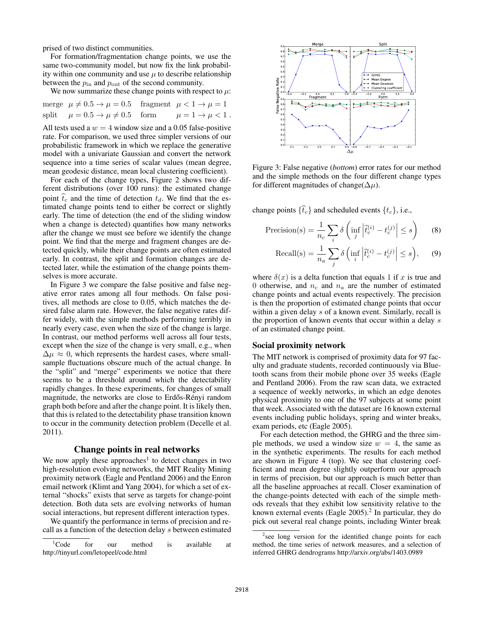prised of two distinct communities.

For formation/fragmentation change points, we use the same two-community model, but now fix the link probability within one community and use  $\mu$  to describe relationship between the  $p_{\text{in}}$  and  $p_{\text{out}}$  of the second community.

We now summarize these change points with respect to  $\mu$ :

merge 
$$
\mu \neq 0.5 \rightarrow \mu = 0.5
$$
 fragment  $\mu < 1 \rightarrow \mu = 1$   
split  $\mu = 0.5 \rightarrow \mu \neq 0.5$  form  $\mu = 1 \rightarrow \mu < 1$ .

All tests used a  $w = 4$  window size and a 0.05 false-positive rate. For comparison, we used three simpler versions of our probabilistic framework in which we replace the generative model with a univariate Gaussian and convert the network sequence into a time series of scalar values (mean degree, mean geodesic distance, mean local clustering coefficient).

For each of the change types, Figure 2 shows two different distributions (over 100 runs): the estimated change point  $t_c$  and the time of detection  $t_d$ . We find that the estimated change points tend to either be correct or slightly early. The time of detection (the end of the sliding window when a change is detected) quantifies how many networks after the change we must see before we identify the change point. We find that the merge and fragment changes are detected quickly, while their change points are often estimated early. In contrast, the split and formation changes are detected later, while the estimation of the change points themselves is more accurate.

In Figure 3 we compare the false positive and false negative error rates among all four methods. On false positives, all methods are close to 0.05, which matches the desired false alarm rate. However, the false negative rates differ widely, with the simple methods performing terribly in nearly every case, even when the size of the change is large. In contrast, our method performs well across all four tests, except when the size of the change is very small, e.g., when  $\Delta \mu \approx 0$ , which represents the hardest cases, where smallsample fluctuations obscure much of the actual change. In the "split" and "merge" experiments we notice that there seems to be a threshold around which the detectability rapidly changes. In these experiments, for changes of small magnitude, the networks are close to Erdős-Rényi random graph both before and after the change point. It is likely then, that this is related to the detectability phase transition known to occur in the community detection problem (Decelle et al. 2011).

## Change points in real networks

We now apply these approaches<sup>1</sup> to detect changes in two high-resolution evolving networks, the MIT Reality Mining proximity network (Eagle and Pentland 2006) and the Enron email network (Klimt and Yang 2004), for which a set of external "shocks" exists that serve as targets for change-point detection. Both data sets are evolving networks of human social interactions, but represent different interaction types.

We quantify the performance in terms of precision and recall as a function of the detection delay s between estimated



Figure 3: False negative (*bottom*) error rates for our method and the simple methods on the four different change types for different magnitudes of change( $\Delta \mu$ ).

change points  $\{\hat{t}_c\}$  and scheduled events  $\{t_c\}$ , i.e.,

$$
\text{Precision(s)} = \frac{1}{n_c} \sum_{i} \delta \left( \inf_{j} \left| \hat{t}_c^{(i)} - t_c^{(j)} \right| \le s \right) \tag{8}
$$

Recall(s) = 
$$
\frac{1}{n_a} \sum_{j} \delta \left( \inf_{i} \left| \tilde{t}_c^{(i)} - t_c^{(j)} \right| \le s \right)
$$
, (9)

where  $\delta(x)$  is a delta function that equals 1 if x is true and 0 otherwise, and  $n_c$  and  $n_a$  are the number of estimated change points and actual events respectively. The precision is then the proportion of estimated change points that occur within a given delay s of a known event. Similarly, recall is the proportion of known events that occur within a delay s of an estimated change point.

#### Social proximity network

The MIT network is comprised of proximity data for 97 faculty and graduate students, recorded continuously via Bluetooth scans from their mobile phone over 35 weeks (Eagle and Pentland 2006). From the raw scan data, we extracted a sequence of weekly networks, in which an edge denotes physical proximity to one of the 97 subjects at some point that week. Associated with the dataset are 16 known external events including public holidays, spring and winter breaks, exam periods, etc (Eagle 2005).

For each detection method, the GHRG and the three simple methods, we used a window size  $w = 4$ , the same as in the synthetic experiments. The results for each method are shown in Figure 4 (top). We see that clustering coefficient and mean degree slightly outperform our approach in terms of precision, but our approach is much better than all the baseline approaches at recall. Closer examination of the change-points detected with each of the simple methods reveals that they exhibit low sensitivity relative to the known external events (Eagle  $2005$ ).<sup>2</sup> In particular, they do pick out several real change points, including Winter break

<sup>&</sup>lt;sup>1</sup>Code for our method is available at http://tinyurl.com/letopeel/code.html

<sup>&</sup>lt;sup>2</sup> see long version for the identified change points for each method, the time series of network measures, and a selection of inferred GHRG dendrograms http://arxiv.org/abs/1403.0989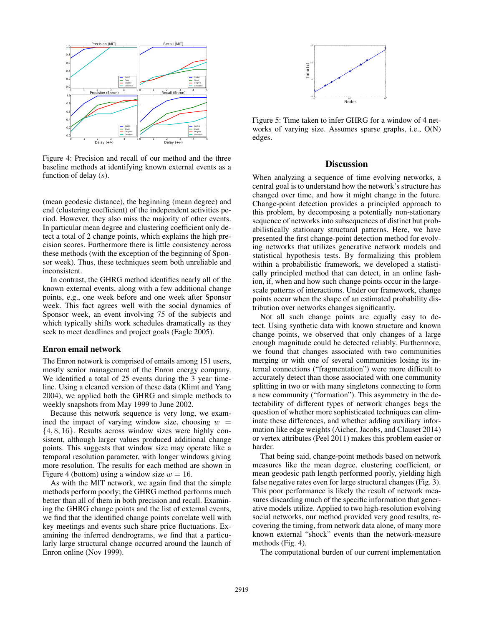

Figure 4: Precision and recall of our method and the three baseline methods at identifying known external events as a function of delay  $(s)$ .

(mean geodesic distance), the beginning (mean degree) and end (clustering coefficient) of the independent activities period. However, they also miss the majority of other events. In particular mean degree and clustering coefficient only detect a total of 2 change points, which explains the high precision scores. Furthermore there is little consistency across these methods (with the exception of the beginning of Sponsor week). Thus, these techniques seem both unreliable and inconsistent.

In contrast, the GHRG method identifies nearly all of the known external events, along with a few additional change points, e.g., one week before and one week after Sponsor week. This fact agrees well with the social dynamics of Sponsor week, an event involving 75 of the subjects and which typically shifts work schedules dramatically as they seek to meet deadlines and project goals (Eagle 2005).

## Enron email network

The Enron network is comprised of emails among 151 users, mostly senior management of the Enron energy company. We identified a total of 25 events during the 3 year timeline. Using a cleaned version of these data (Klimt and Yang 2004), we applied both the GHRG and simple methods to weekly snapshots from May 1999 to June 2002.

Because this network sequence is very long, we examined the impact of varying window size, choosing  $w =$  $\{4, 8, 16\}$ . Results across window sizes were highly consistent, although larger values produced additional change points. This suggests that window size may operate like a temporal resolution parameter, with longer windows giving more resolution. The results for each method are shown in Figure 4 (bottom) using a window size  $w = 16$ .

As with the MIT network, we again find that the simple methods perform poorly; the GHRG method performs much better than all of them in both precision and recall. Examining the GHRG change points and the list of external events, we find that the identified change points correlate well with key meetings and events such share price fluctuations. Examining the inferred dendrograms, we find that a particularly large structural change occurred around the launch of Enron online (Nov 1999).



Figure 5: Time taken to infer GHRG for a window of 4 networks of varying size. Assumes sparse graphs, i.e., O(N) edges.

### **Discussion**

When analyzing a sequence of time evolving networks, a central goal is to understand how the network's structure has changed over time, and how it might change in the future. Change-point detection provides a principled approach to this problem, by decomposing a potentially non-stationary sequence of networks into subsequences of distinct but probabilistically stationary structural patterns. Here, we have presented the first change-point detection method for evolving networks that utilizes generative network models and statistical hypothesis tests. By formalizing this problem within a probabilistic framework, we developed a statistically principled method that can detect, in an online fashion, if, when and how such change points occur in the largescale patterns of interactions. Under our framework, change points occur when the shape of an estimated probability distribution over networks changes significantly.

Not all such change points are equally easy to detect. Using synthetic data with known structure and known change points, we observed that only changes of a large enough magnitude could be detected reliably. Furthermore, we found that changes associated with two communities merging or with one of several communities losing its internal connections ("fragmentation") were more difficult to accurately detect than those associated with one community splitting in two or with many singletons connecting to form a new community ("formation"). This asymmetry in the detectability of different types of network changes begs the question of whether more sophisticated techniques can eliminate these differences, and whether adding auxiliary information like edge weights (Aicher, Jacobs, and Clauset 2014) or vertex attributes (Peel 2011) makes this problem easier or harder.

That being said, change-point methods based on network measures like the mean degree, clustering coefficient, or mean geodesic path length performed poorly, yielding high false negative rates even for large structural changes (Fig. 3). This poor performance is likely the result of network measures discarding much of the specific information that generative models utilize. Applied to two high-resolution evolving social networks, our method provided very good results, recovering the timing, from network data alone, of many more known external "shock" events than the network-measure methods (Fig. 4).

The computational burden of our current implementation